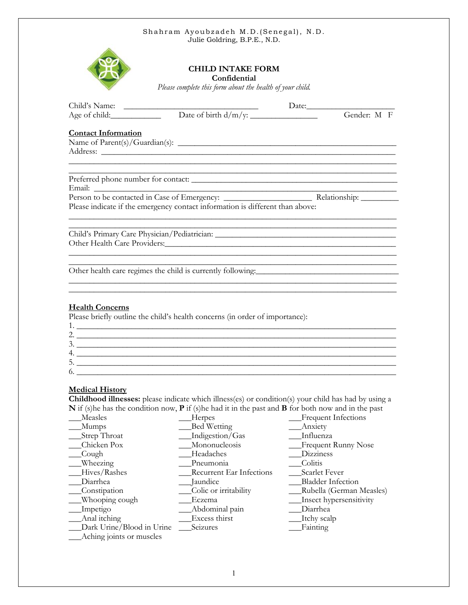

# **CHILD INTAKE FORM**

**Confidential**

*Please complete this form about the health of your child.*

|                            |                                                                                  | Gender: M F |
|----------------------------|----------------------------------------------------------------------------------|-------------|
| <b>Contact Information</b> |                                                                                  |             |
|                            |                                                                                  |             |
|                            |                                                                                  |             |
|                            | ,我们也不能在这里的时候,我们也不能在这里的时候,我们也不能在这里的时候,我们也不能会在这里的时候,我们也不能会在这里的时候,我们也不能会在这里的时候,我们也不 |             |
|                            |                                                                                  |             |
|                            | Please indicate if the emergency contact information is different than above:    |             |
|                            | ,我们也不能在这里的时候,我们也不能在这里的时候,我们也不能在这里的时候,我们也不能会在这里的时候,我们也不能会在这里的时候,我们也不能会在这里的时候,我们也不 |             |
|                            | Other health care regimes the child is currently following:                      |             |
|                            |                                                                                  |             |
| <b>Health Concerns</b>     | Please briefly outline the child's health concerns (in order of importance):     |             |
|                            |                                                                                  |             |
|                            | 3.                                                                               |             |
|                            |                                                                                  |             |
|                            |                                                                                  |             |

### **Medical History**

**Childhood illnesses:** please indicate which illness(es) or condition(s) your child has had by using a **N** if (s)he has the condition now, **P** if (s)he had it in the past and **B** for both now and in the past

 $6. \ \_ {\_{}$ 

| Measles                   | Herpes                          | <b>Frequent Infections</b> |
|---------------------------|---------------------------------|----------------------------|
| Mumps                     | Bed Wetting                     | Anxiety                    |
| Strep Throat              | Indigestion/Gas                 | Influenza                  |
| Chicken Pox               | Mononucleosis                   | <b>Frequent Runny Nose</b> |
| Cough                     | Headaches                       | Dizziness                  |
| Wheezing                  | Pneumonia                       | Colitis                    |
| Hives/Rashes              | <b>Recurrent Ear Infections</b> | Scarlet Fever              |
| Diarrhea                  | Jaundice                        | <b>Bladder Infection</b>   |
| Constipation              | Colic or irritability           | Rubella (German Measles)   |
| Whooping cough            | Eczema                          | Insect hypersensitivity    |
| Impetigo                  | Abdominal pain                  | Diarrhea                   |
| Anal itching              | Excess thirst                   | Itchy scalp                |
| Dark Urine/Blood in Urine | Seizures                        | Fainting                   |
| Aching joints or muscles  |                                 |                            |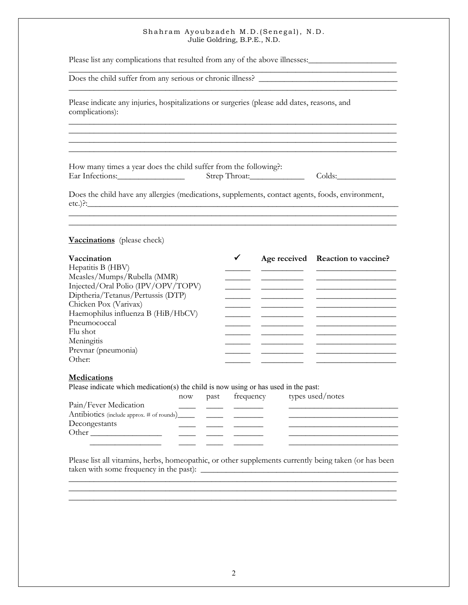\_\_\_\_\_\_\_\_\_\_\_\_\_\_\_\_\_\_\_\_\_\_\_\_\_\_\_\_\_\_\_\_\_\_\_\_\_\_\_\_\_\_\_\_\_\_\_\_\_\_\_\_\_\_\_\_\_\_\_\_\_\_\_\_\_\_\_\_\_\_\_\_\_\_\_\_\_\_ \_\_\_\_\_\_\_\_\_\_\_\_\_\_\_\_\_\_\_\_\_\_\_\_\_\_\_\_\_\_\_\_\_\_\_\_\_\_\_\_\_\_\_\_\_\_\_\_\_\_\_\_\_\_\_\_\_\_\_\_\_\_\_\_\_\_\_\_\_\_\_\_\_\_\_\_\_\_

\_\_\_\_\_\_\_\_\_\_\_\_\_\_\_\_\_\_\_\_\_\_\_\_\_\_\_\_\_\_\_\_\_\_\_\_\_\_\_\_\_\_\_\_\_\_\_\_\_\_\_\_\_\_\_\_\_\_\_\_\_\_\_\_\_\_\_\_\_\_\_\_\_\_\_\_\_\_

Please list any complications that resulted from any of the above illnesses:

Does the child suffer from any serious or chronic illness?

Please indicate any injuries, hospitalizations or surgeries (please add dates, reasons, and complications):

How many times a year does the child suffer from the following?: Ear Infections:\_\_\_\_\_\_\_\_\_\_\_\_\_\_\_\_ Strep Throat:\_\_\_\_\_\_\_\_\_\_\_\_\_ Colds:\_\_\_\_\_\_\_\_\_\_\_\_\_\_

\_\_\_\_\_\_\_\_\_\_\_\_\_\_\_\_\_\_\_\_\_\_\_\_\_\_\_\_\_\_\_\_\_\_\_\_\_\_\_\_\_\_\_\_\_\_\_\_\_\_\_\_\_\_\_\_\_\_\_\_\_\_\_\_\_\_\_\_\_\_\_\_\_\_\_\_\_\_

Does the child have any allergies (medications, supplements, contact agents, foods, environment, etc.)?:\_\_\_\_\_\_\_\_\_\_\_\_\_\_\_\_\_\_\_\_\_\_\_\_\_\_\_\_\_\_\_\_\_\_\_\_\_\_\_\_\_\_\_\_\_\_\_\_\_\_\_\_\_\_\_\_\_\_\_\_\_\_\_\_\_\_\_\_\_\_\_\_\_\_

 $\frac{1}{2}$  ,  $\frac{1}{2}$  ,  $\frac{1}{2}$  ,  $\frac{1}{2}$  ,  $\frac{1}{2}$  ,  $\frac{1}{2}$  ,  $\frac{1}{2}$  ,  $\frac{1}{2}$  ,  $\frac{1}{2}$  ,  $\frac{1}{2}$  ,  $\frac{1}{2}$  ,  $\frac{1}{2}$  ,  $\frac{1}{2}$  ,  $\frac{1}{2}$  ,  $\frac{1}{2}$  ,  $\frac{1}{2}$  ,  $\frac{1}{2}$  ,  $\frac{1}{2}$  ,  $\frac{1$ 

### **Vaccinations** (please check)

| Vaccination                        |  | Age received Reaction to vaccine? |  |
|------------------------------------|--|-----------------------------------|--|
| Hepatitis B (HBV)                  |  |                                   |  |
| Measles/Mumps/Rubella (MMR)        |  |                                   |  |
| Injected/Oral Polio (IPV/OPV/TOPV) |  |                                   |  |
| Diptheria/Tetanus/Pertussis (DTP)  |  |                                   |  |
| Chicken Pox (Varivax)              |  |                                   |  |
| Haemophilus influenza B (HiB/HbCV) |  |                                   |  |
| Pneumococcal                       |  |                                   |  |
| Flu shot                           |  |                                   |  |
| Meningitis                         |  |                                   |  |
| Prevnar (pneumonia)                |  |                                   |  |
| Other:                             |  |                                   |  |

#### **Medications**

Please indicate which medication(s) the child is now using or has used in the past:

|                       | now | past | frequency | types used/notes |  |
|-----------------------|-----|------|-----------|------------------|--|
| Pain/Fever Medication |     |      |           |                  |  |
|                       |     |      |           |                  |  |
| Decongestants         |     |      |           |                  |  |
| Other                 |     |      |           |                  |  |
|                       |     |      |           |                  |  |
|                       |     |      |           |                  |  |

Please list all vitamins, herbs, homeopathic, or other supplements currently being taken (or has been taken with some frequency in the past): \_\_\_\_\_\_\_\_\_\_\_\_\_\_\_\_\_\_\_\_\_\_\_\_\_\_\_\_\_\_\_\_\_\_\_\_\_\_\_\_\_\_\_\_\_\_\_

\_\_\_\_\_\_\_\_\_\_\_\_\_\_\_\_\_\_\_\_\_\_\_\_\_\_\_\_\_\_\_\_\_\_\_\_\_\_\_\_\_\_\_\_\_\_\_\_\_\_\_\_\_\_\_\_\_\_\_\_\_\_\_\_\_\_\_\_\_\_\_\_\_\_\_\_\_\_

\_\_\_\_\_\_\_\_\_\_\_\_\_\_\_\_\_\_\_\_\_\_\_\_\_\_\_\_\_\_\_\_\_\_\_\_\_\_\_\_\_\_\_\_\_\_\_\_\_\_\_\_\_\_\_\_\_\_\_\_\_\_\_\_\_\_\_\_\_\_\_\_\_\_\_\_\_\_ \_\_\_\_\_\_\_\_\_\_\_\_\_\_\_\_\_\_\_\_\_\_\_\_\_\_\_\_\_\_\_\_\_\_\_\_\_\_\_\_\_\_\_\_\_\_\_\_\_\_\_\_\_\_\_\_\_\_\_\_\_\_\_\_\_\_\_\_\_\_\_\_\_\_\_\_\_\_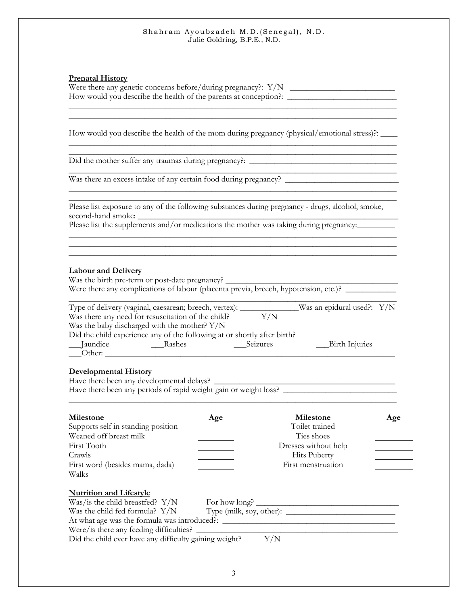### **Prenatal History**

| Were there any genetic concerns before/during pregnancy?: $Y/N$ |  |
|-----------------------------------------------------------------|--|
| How would you describe the health of the parents at conception? |  |

\_\_\_\_\_\_\_\_\_\_\_\_\_\_\_\_\_\_\_\_\_\_\_\_\_\_\_\_\_\_\_\_\_\_\_\_\_\_\_\_\_\_\_\_\_\_\_\_\_\_\_\_\_\_\_\_\_\_\_\_\_\_\_\_\_\_\_\_\_\_\_\_\_\_\_\_\_\_ \_\_\_\_\_\_\_\_\_\_\_\_\_\_\_\_\_\_\_\_\_\_\_\_\_\_\_\_\_\_\_\_\_\_\_\_\_\_\_\_\_\_\_\_\_\_\_\_\_\_\_\_\_\_\_\_\_\_\_\_\_\_\_\_\_\_\_\_\_\_\_\_\_\_\_\_\_\_

\_\_\_\_\_\_\_\_\_\_\_\_\_\_\_\_\_\_\_\_\_\_\_\_\_\_\_\_\_\_\_\_\_\_\_\_\_\_\_\_\_\_\_\_\_\_\_\_\_\_\_\_\_\_\_\_\_\_\_\_\_\_\_\_\_\_\_\_\_\_\_\_\_\_\_\_\_\_

\_\_\_\_\_\_\_\_\_\_\_\_\_\_\_\_\_\_\_\_\_\_\_\_\_\_\_\_\_\_\_\_\_\_\_\_\_\_\_\_\_\_\_\_\_\_\_\_\_\_\_\_\_\_\_\_\_\_\_\_\_\_\_\_\_\_\_\_\_\_\_\_\_\_\_\_\_\_

\_\_\_\_\_\_\_\_\_\_\_\_\_\_\_\_\_\_\_\_\_\_\_\_\_\_\_\_\_\_\_\_\_\_\_\_\_\_\_\_\_\_\_\_\_\_\_\_\_\_\_\_\_\_\_\_\_\_\_\_\_\_\_\_\_\_\_\_\_\_\_\_\_\_\_\_\_\_ \_\_\_\_\_\_\_\_\_\_\_\_\_\_\_\_\_\_\_\_\_\_\_\_\_\_\_\_\_\_\_\_\_\_\_\_\_\_\_\_\_\_\_\_\_\_\_\_\_\_\_\_\_\_\_\_\_\_\_\_\_\_\_\_\_\_\_\_\_\_\_\_\_\_\_\_\_\_

\_\_\_\_\_\_\_\_\_\_\_\_\_\_\_\_\_\_\_\_\_\_\_\_\_\_\_\_\_\_\_\_\_\_\_\_\_\_\_\_\_\_\_\_\_\_\_\_\_\_\_\_\_\_\_\_\_\_\_\_\_\_\_\_\_\_\_\_\_\_\_\_\_\_\_\_\_\_

How would you describe the health of the mom during pregnancy (physical/emotional stress)?: \_\_\_\_\_\_

Did the mother suffer any traumas during pregnancy?: \_\_\_\_\_\_\_\_\_\_\_\_\_\_\_\_\_\_\_\_\_\_\_\_\_\_\_\_\_\_\_\_\_\_\_

Was there an excess intake of any certain food during pregnancy? \_\_\_\_\_\_\_\_\_\_\_\_\_\_\_\_\_\_\_\_\_\_\_\_\_\_\_

Please list exposure to any of the following substances during pregnancy - drugs, alcohol, smoke, second-hand smoke:

Please list the supplements and/or medications the mother was taking during pregnancy:

# **Labour and Delivery**

Was the birth pre-term or post-date pregnancy? \_\_\_\_\_\_\_\_\_\_\_\_\_\_\_\_\_\_\_\_\_\_\_\_\_\_\_\_\_\_\_\_\_ Were there any complications of labour (placenta previa, breech, hypotension, etc.)? \_\_\_\_\_\_\_\_\_\_\_\_\_\_

|            | Type of delivery (vaginal, caesarean; breech, vertex): __                |          | Was an epidural used?: $Y/N$ |
|------------|--------------------------------------------------------------------------|----------|------------------------------|
|            | Was there any need for resuscitation of the child?                       | Y/N      |                              |
|            | Was the baby discharged with the mother? $Y/N$                           |          |                              |
|            | Did the child experience any of the following at or shortly after birth? |          |                              |
| __Jaundice | Rashes                                                                   | Seizures | Birth Injuries               |
| Other:     |                                                                          |          |                              |

### **Developmental History**

Have there been any developmental delays? Have there been any periods of rapid weight gain or weight loss? \_\_\_\_\_\_\_\_\_\_\_\_\_\_\_\_\_\_\_\_\_\_\_\_\_\_\_ \_\_\_\_\_\_\_\_\_\_\_\_\_\_\_\_\_\_\_\_\_\_\_\_\_\_\_\_\_\_\_\_\_\_\_\_\_\_\_\_\_\_\_\_\_\_\_\_\_\_\_\_\_\_\_\_\_\_\_\_\_\_\_\_\_\_\_\_\_\_\_\_\_\_\_\_\_\_

| Milestone<br>Supports self in standing position<br>Weaned off breast milk<br>First Tooth<br>Crawls<br>First word (besides mama, dada)<br>Walks                                                                                                                                                        | Age | <b>Milestone</b><br>Toilet trained<br>Ties shoes<br>Dresses without help<br><b>Hits Puberty</b><br>First menstruation | Age |
|-------------------------------------------------------------------------------------------------------------------------------------------------------------------------------------------------------------------------------------------------------------------------------------------------------|-----|-----------------------------------------------------------------------------------------------------------------------|-----|
| <b>Nutrition and Lifestyle</b><br>Was/is the child breastfed? $Y/N$<br>Was the child fed formula? $Y/N$ Type (milk, soy, other): $\qquad \qquad$<br>At what age was the formula was introduced?:<br>Were/is there any feeding difficulties?<br>Did the child ever have any difficulty gaining weight? | Y/N | For how long?                                                                                                         |     |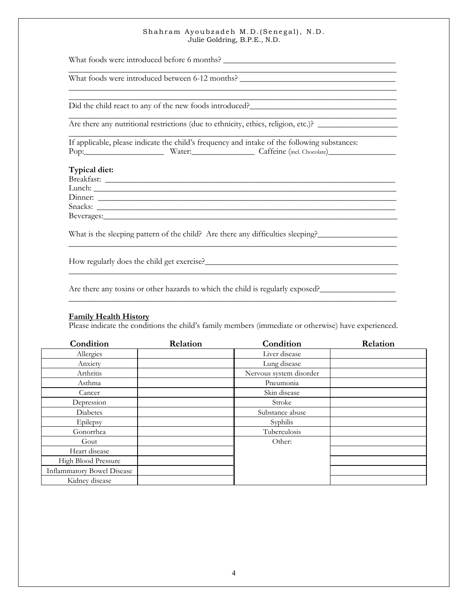\_\_\_\_\_\_\_\_\_\_\_\_\_\_\_\_\_\_\_\_\_\_\_\_\_\_\_\_\_\_\_\_\_\_\_\_\_\_\_\_\_\_\_\_\_\_\_\_\_\_\_\_\_\_\_\_\_\_\_\_\_\_\_\_\_\_\_\_\_\_\_\_\_\_\_\_\_\_

\_\_\_\_\_\_\_\_\_\_\_\_\_\_\_\_\_\_\_\_\_\_\_\_\_\_\_\_\_\_\_\_\_\_\_\_\_\_\_\_\_\_\_\_\_\_\_\_\_\_\_\_\_\_\_\_\_\_\_\_\_\_\_\_\_\_\_\_\_\_\_\_\_\_\_\_\_\_

\_\_\_\_\_\_\_\_\_\_\_\_\_\_\_\_\_\_\_\_\_\_\_\_\_\_\_\_\_\_\_\_\_\_\_\_\_\_\_\_\_\_\_\_\_\_\_\_\_\_\_\_\_\_\_\_\_\_\_\_\_\_\_\_\_\_\_\_\_\_\_\_\_\_\_\_\_\_

\_\_\_\_\_\_\_\_\_\_\_\_\_\_\_\_\_\_\_\_\_\_\_\_\_\_\_\_\_\_\_\_\_\_\_\_\_\_\_\_\_\_\_\_\_\_\_\_\_\_\_\_\_\_\_\_\_\_\_\_\_\_\_\_\_\_\_\_\_\_\_\_\_\_\_\_\_\_

\_\_\_\_\_\_\_\_\_\_\_\_\_\_\_\_\_\_\_\_\_\_\_\_\_\_\_\_\_\_\_\_\_\_\_\_\_\_\_\_\_\_\_\_\_\_\_\_\_\_\_\_\_\_\_\_\_\_\_\_\_\_\_\_\_\_\_\_\_\_\_\_\_\_\_\_\_\_

\_\_\_\_\_\_\_\_\_\_\_\_\_\_\_\_\_\_\_\_\_\_\_\_\_\_\_\_\_\_\_\_\_\_\_\_\_\_\_\_\_\_\_\_\_\_\_\_\_\_\_\_\_\_\_\_\_\_\_\_\_\_\_\_\_\_\_\_\_\_\_\_\_\_\_\_\_\_

What foods were introduced before 6 months?

What foods were introduced between 6-12 months?

Did the child react to any of the new foods introduced?

Are there any nutritional restrictions (due to ethnicity, ethics, religion, etc.)?

If applicable, please indicate the child's frequency and intake of the following substances: Pop:\_\_\_\_\_\_\_\_\_\_\_\_\_\_\_\_\_\_\_ Water:\_\_\_\_\_\_\_\_\_\_\_\_\_\_\_ Caffeine (incl. Chocolate)\_\_\_\_\_\_\_\_\_\_\_\_\_\_\_\_

### **Typical diet:**

Breakfast: \_\_\_\_\_\_\_\_\_\_\_\_\_\_\_\_\_\_\_\_\_\_\_\_\_\_\_\_\_\_\_\_\_\_\_\_\_\_\_\_\_\_\_\_\_\_\_\_\_\_\_\_\_\_\_\_\_\_\_\_\_\_\_\_\_\_\_\_\_  $L$ unch:  $\Box$ Dinner: Snacks: Beverages:

What is the sleeping pattern of the child? Are there any difficulties sleeping?\_\_\_\_\_\_\_\_\_\_\_\_\_\_\_\_\_\_\_

How regularly does the child get exercise?

Are there any toxins or other hazards to which the child is regularly exposed?

### **Family Health History**

Please indicate the conditions the child's family members (immediate or otherwise) have experienced.

| Condition                         | Relation | Condition               | Relation |
|-----------------------------------|----------|-------------------------|----------|
| Allergies                         |          | Liver disease           |          |
| Anxiety                           |          | Lung disease            |          |
| Arthritis                         |          | Nervous system disorder |          |
| Asthma                            |          | Pneumonia               |          |
| Cancer                            |          | Skin disease            |          |
| Depression                        |          | Stroke                  |          |
| Diabetes                          |          | Substance abuse         |          |
| Epilepsy                          |          | Syphilis                |          |
| Gonorrhea                         |          | Tuberculosis            |          |
| Gout                              |          | Other:                  |          |
| Heart disease                     |          |                         |          |
| High Blood Pressure               |          |                         |          |
| <b>Inflammatory Bowel Disease</b> |          |                         |          |
| Kidney disease                    |          |                         |          |